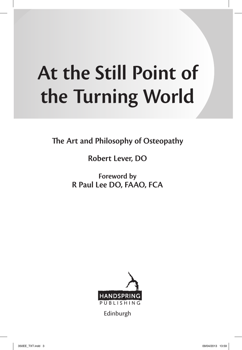# **At the Still Point of the Turning World**

**The Art and Philosophy of Osteopathy** 

**Robert Lever, DO**

**Foreword by R Paul Lee DO, FAAO, FCA**



Edinburgh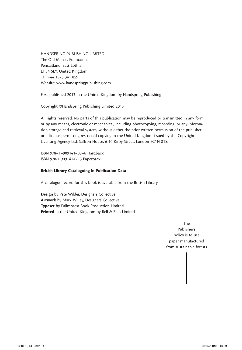HANDSPRING PUBLISHING LIMITED The Old Manse, Fountainhall, Pencaitland, East Lothian EH34 5EY, United Kingdom Tel: +44 1875 341 859 Website: www.handspringpublishing.com

First published 2013 in the United Kingdom by Handspring Publishing

Copyright ©Handspring Publishing Limited 2013

All rights reserved. No parts of this publication may be reproduced or transmitted in any form or by any means, electronic or mechanical, including photocopying, recording, or any information storage and retrieval system, without either the prior written permission of the publisher or a license permitting restricted copying in the United Kingdom issued by the Copyright Licensing Agency Ltd, Saffron House, 6-10 Kirby Street, London EC1N 8TS.

ISBN 978–1–909141–05–6 Hardback ISBN 978-1-909141-06-3 Paperback

#### **British Library Cataloguing in Publication Data**

A catalogue record for this book is available from the British Library

**Design** by Pete Wilder, Designers Collective **Artwork** by Mark Willey, Designers Collective **Typeset** by Palimpsest Book Production Limited **Printed** in the United Kingdom by Bell & Bain Limited

> The Publisher's policy is to use paper manufactured from sustainable forests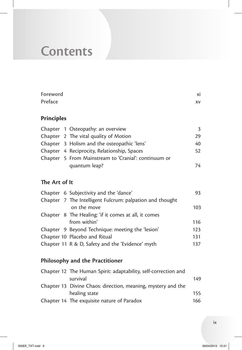### **Contents**

| Foreword          |  |                                                          | xi  |
|-------------------|--|----------------------------------------------------------|-----|
| Preface           |  |                                                          | XV  |
| <b>Principles</b> |  |                                                          |     |
|                   |  | Chapter 1 Osteopathy: an overview                        | 3   |
|                   |  | Chapter 2 The vital quality of Motion                    | 29  |
|                   |  | Chapter 3 Holism and the osteopathic 'lens'              | 40  |
|                   |  | Chapter 4 Reciprocity, Relationship, Spaces              | 52  |
|                   |  | Chapter 5 From Mainstream to 'Cranial': continuum or     |     |
|                   |  | quantum leap?                                            | 74  |
| The Art of It     |  |                                                          |     |
|                   |  | Chapter 6 Subjectivity and the 'dance'                   | 93  |
|                   |  | Chapter 7 The Intelligent Fulcrum: palpation and thought |     |
|                   |  | on the move                                              | 103 |
|                   |  | Chapter 8 The Healing: 'if it comes at all, it comes     |     |
|                   |  | from within'                                             | 116 |
|                   |  | Chapter 9 Beyond Technique: meeting the 'lesion'         | 123 |
|                   |  | Chapter 10 Placebo and Ritual                            | 131 |
|                   |  | Chapter 11 R & D, Safety and the 'Evidence' myth         | 137 |

### **Philosophy and the Practitioner**

| Chapter 12 The Human Spirit: adaptability, self-correction and |     |
|----------------------------------------------------------------|-----|
| survival                                                       | 149 |
| Chapter 13 Divine Chaos: direction, meaning, mystery and the   |     |
| healing state                                                  | 155 |
| Chapter 14 The exquisite nature of Paradox                     | 166 |
|                                                                |     |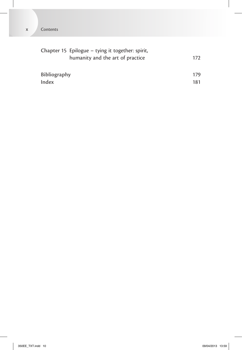|                              | Chapter 15 Epilogue – tying it together: spirit, |            |
|------------------------------|--------------------------------------------------|------------|
|                              | humanity and the art of practice                 | 172        |
| <b>Bibliography</b><br>Index |                                                  | 179<br>181 |
|                              |                                                  |            |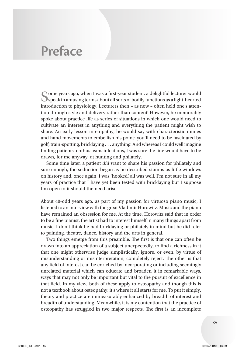### **Preface**

O ome years ago, when I was a first-year student, a delightful lecturer would speak in amusing terms about all sorts of bodily functions as a light-hearted introduction to physiology. Lecturers then – as now – often held one's attention through style and delivery rather than content! However, he memorably spoke about practice life as series of situations in which one would need to cultivate an interest in anything and everything the patient might wish to share. An early lesson in empathy, he would say with characteristic mimes and hand movements to embellish his point: you'll need to be fascinated by golf, train-spotting, bricklaying . . . anything. And whereas I could well imagine finding patients' enthusiasms infectious, I was sure the line would have to be drawn, for me anyway, at hunting and philately.

Some time later, a patient *did* want to share his passion for philately and sure enough, the seduction began as he described stamps as little windows on history and, once again, I was 'hooked', all was well. I'm not sure in all my years of practice that I have yet been tested with bricklaying but I suppose I'm open to it should the need arise.

About 40-odd years ago, as part of my passion for virtuoso piano music, I listened to an interview with the great Vladimir Horowitz. Music and the piano have remained an obsession for me. At the time, Horowitz said that in order to be a fine pianist, the artist had to interest himself in many things apart from music. I don't think he had bricklaying or philately in mind but he did refer to painting, theatre, dance, history and the arts in general.

Two things emerge from this preamble. The first is that one can often be drawn into an appreciation of a subject unexpectedly, to find a richness in it that one might otherwise judge simplistically, ignore, or even, by virtue of misunderstanding or misinterpretation, completely reject. The other is that any field of interest can be enriched by incorporating or including seemingly unrelated material which can educate and broaden it in remarkable ways, ways that may not only be important but vital to the pursuit of excellence in that field. In my view, both of these apply to osteopathy and though this is not a textbook about osteopathy, it's where it all starts for me. To put it simply, theory and practice are immeasurably enhanced by breadth of interest and breadth of understanding. Meanwhile, it is my contention that the practice of osteopathy has struggled in two major respects. The first is an incomplete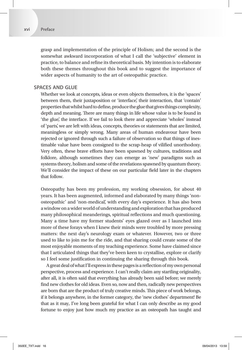grasp and implementation of the principle of Holism; and the second is the somewhat awkward incorporation of what I call the 'subjective' element in practice, to balance and refine its theoretical basis. My intention is to elaborate both these themes throughout this book and to suggest the importance of wider aspects of humanity to the art of osteopathic practice.

### **SPACES AND GLUE**

Whether we look at concepts, ideas or even objects themselves, it is the 'spaces' between them, their juxtaposition or 'interface', their interaction, that 'contain' properties that whilst hard to define, produce the glue that gives things complexity, depth and meaning. There are many things in life whose value is to be found in 'the glue', the interface. If we fail to look there and appreciate 'wholes' instead of 'parts', we are left with ideas, concepts, theories or statements that are limited, meaningless or simply wrong. Many areas of human endeavour have been rejected or ignored through such a failure of observation so that things of inestimable value have been consigned to the scrap-heap of vilified unorthodoxy. Very often, these brave efforts have been spawned by cultures, traditions and folklore, although sometimes they can emerge as 'new' paradigms such as systems theory, holism and some of the revelations spawned by quantum theory. We'll consider the impact of these on our particular field later in the chapters that follow.

Osteopathy has been my profession, my working obsession, for about 40 years. It has been augmented, informed and elaborated by many things 'nonosteopathic' and 'non-medical', with every day's experience. It has also been a window on a wider world of understanding and exploration that has produced many philosophical meanderings, spiritual reflections and much questioning. Many a time have my former students' eyes glazed over as I launched into more of these forays when I knew their minds were troubled by more pressing matters: the next day's neurology exam or whatever. However, two or three used to like to join me for the ride, and that sharing could create some of the most enjoyable moments of my teaching experience. Some have claimed since that I articulated things that they've been keen to crystallise, explore or clarify so I feel some justification in continuing the sharing through this book.

A great deal of what I'll express in these pages is a reflection of my own personal perspective, process and experience. I can't really claim any startling originality, after all, it is often said that everything has already been said before; we merely find new clothes for old ideas. Even so, now and then, radically new perspectives are born that are the product of truly creative minds. This piece of work belongs, if it belongs anywhere, in the former category, the 'new clothes' department! Be that as it may, I've long been grateful for what I can only describe as my good fortune to enjoy just how much my practice as an osteopath has taught and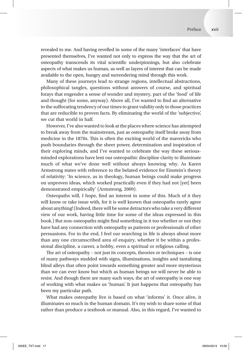revealed to me. And having revelled in some of the many 'interfaces' that have presented themselves, I've wanted not only to express the way that the art of osteopathy transcends its vital scientific underpinnings, but also celebrate aspects of what makes us human, as well as layers of interest that can be made available to the open, hungry and surrendering mind through this work.

Many of these journeys lead to strange regions, intellectual abstractions, philosophical tangles, questions without answers of course, and spiritual forays that engender a sense of wonder and mystery, part of the 'food' of life and thought (for some, anyway). Above all, I've wanted to find an alternative to the suffocating tendency of our times to grant validity only to those practices that are reducible to proven facts. By eliminating the world of the 'subjective', we cut that world in half.

However, I've also wanted to look at the places where science has attempted to break away from the mainstream, just as osteopathy itself broke away from medicine in the 1870s. This is often the exciting world of the mavericks who push boundaries through the sheer power, determination and inspiration of their exploring minds, and I've wanted to celebrate the way these seriousminded explorations have lent our osteopathic discipline clarity to illuminate much of what we've done well without always knowing why. As Karen Armstrong states with reference to the belated evidence for Einstein's theory of relativity: 'In science, as in theology, human beings could make progress on unproven ideas, which worked practically even if they had not [yet] been demonstrated empirically' (Armstrong, 2009).

Osteopaths will, I hope, find an interest in some of this. Much of it they will know or take issue with, for it is well known that osteopaths rarely agree about anything! (Indeed, there will be some detractors who take a very different view of our work, having little time for some of the ideas expressed in this book.) But non-osteopaths might find something in it too whether or not they have had any connection with osteopathy as patients or professionals of other persuasions. For in the end, I feel our searching in life is always about more than any one circumscribed area of enquiry, whether it be within a professional discipline, a career, a hobby, even a spiritual or religious calling.

The art of osteopathy – not just its concepts, theories or techniques – is one of many pathways studded with signs, illuminations, insights and tantalising blind alleys that often point towards something greater and more mysterious than we can ever know but which as human beings we will never be able to resist. And though there are many such ways, the art of osteopathy is one way of working with what makes us 'human'. It just happens that osteopathy has been my particular path.

What makes osteopathy live is based on what 'informs' it. Once alive, it illuminates so much in the human domain. It's my wish to share some of that rather than produce a textbook or manual. Also, in this regard, I've wanted to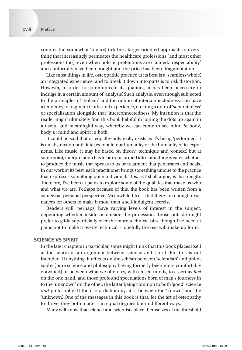counter the somewhat 'binary', tick-box, target-oriented approach to everything that increasingly permeates the healthcare professions (and most other professions too), even when holistic pretentions are claimed; 'respectability' and conformity have been bought and the price has been 'fragmentation'.

Like most things in life, osteopathic practice at its best is a 'seamless whole', an integrated experience, and to break it down into parts is to risk distortion. However, in order to communicate its qualities, it has been necessary to indulge in a certain amount of 'analysis'. Such analysis, even though subjected to the principles of 'holism' and the notion of interconnectedness, can have a tendency to fragment truths and experience, creating a note of 'separateness' or specialisation alongside that 'interconnectedness'. My intention is that the reader might ultimately find this book helpful in joining the dots up again in a useful and meaningful way, whereby we can come to see mind *in* body, body *in* mind and spirit in both.

It could be said that osteopathy only really exists as it's being 'performed'. It is an abstraction until it takes root in our humanity or the humanity of its exponents. Like music, it may be based on theory, technique and 'context', but at some point, interpretation has to be transformed into something greater, whether to produce the music that speaks to us or treatment that penetrates and heals. In our work at its best, each practitioner brings something unique to the practice that expresses something quite individual. This, as I shall argue, is its strength. Therefore, I've been at pains to explore some of the qualities that make us who and what we are. Perhaps because of this, the book has been written from a somewhat personal perspective. Meanwhile I trust that there are enough resonances for others to make it more than a self-indulgent exercise!

Readers will, perhaps, have varying levels of interest in the subject, depending whether inside or outside the profession. Those outside might prefer to glide superficially over the more technical bits, though I've been at pains not to make it overly technical. Hopefully the rest will make up for it.

### **SCIENCE VS SPIRIT**

In the later chapters in particular, some might think that this book places itself at the centre of an argument between science and 'spirit'. But this is not intended. If anything, it reflects on the schism between 'scientism' and philosophy (pure science and philosophy having formerly been more comfortably entwined) or between what we often try, with closed minds, to assert as *fact* on the one hand, and those profound speculations born of man's journeys in to the 'unknown' on the other, the latter being common to both 'good' science *and* philosophy. If there *is* a dichotomy, it is between the 'known' and the 'unknown'. One of the messages in this book is that, for the art of osteopathy to thrive, they both matter—in equal degrees but in different ways.

Many will know that science and scientists place themselves at the threshold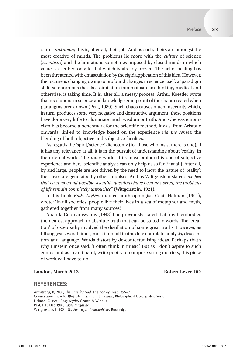of this *unknown*; this is, after all, their job. And as such, theirs are amongst the most creative of minds. The problems lie more with the *culture* of science (*scientism*) and the limitations sometimes imposed by closed minds in which value is ascribed only to that which is already proven. The art of healing has been threatened with emasculation by the rigid application of this idea. However, the picture is changing owing to profound changes in science itself, a 'paradigm shift' so enormous that its assimilation into mainstream thinking, medical and otherwise, is taking time. It is, after all, a messy process: Arthur Koestler wrote that revolutions in science and knowledge emerge out of the chaos created when paradigms break down (Peat, 1989). Such chaos causes much insecurity which, in turn, produces some very negative and destructive argument; these positions have done very little to illuminate much wisdom or truth. And whereas empiricism has become a benchmark for the scientific method, it was, from Aristotle onwards, linked to knowledge based on the experience *via the senses*; the blending of both objective and subjective faculties.

As regards the 'spirit/science' dichotomy (for those who insist there is one), if it has any relevance at all, it is in the pursuit of understanding about 'reality' in the external world. The *inner* world at its most profound is one of subjective experience and here, scientific analysis can only help us so far (if at all). After all, by and large, people are not driven by the need to know the nature of 'reality'; their lives are generated by other impulses. And as Wittgenstein stated: '*we feel that even when all possible scientific questions have been answered, the problems of life remain completely untouched'* (Wittgenstein, 1921).

In his book *Body Myths,* medical anthropologist, Cecil Helman (1991), wrote: 'In all societies, people live their lives in a sea of metaphor and myth, gathered together from many sources.'

Ananda Coomaraswamy (1943) had previously stated that 'myth embodies the nearest approach to absolute truth that can be stated in words'. The 'creation' of osteopathy involved the distillation of some great truths. However, as I'll suggest several times, most if not all truths defy complete analysis, description and language. Words distort by de-contextualising ideas. Perhaps that's why Einstein once said, 'I often think in music.' But as I don't aspire to such genius and as I can't paint, write poetry or compose string quartets, this piece of work will have to do.

### **London, March 2013 Robert Lever DO**

### **REFERENCES:**

Armstrong, K, 2009, *The Case for God*, *The Bodley Head*, 256-7. Coomaraswamy, A K, 1943, *Hinduism and Buddhism,* Philosophical Library, New York. Helman, C, 1991, *Body Myths,* Chatto & Windus. Peat, F D, Dec 1989, *Edges Magazine.* Wittgenstein, L, 1921, *Tractus Logico-Philosophicus,* Routledge.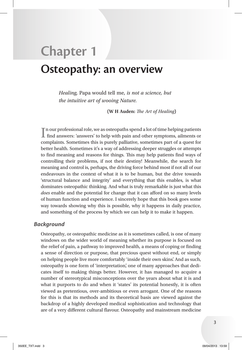## **Chapter 1 Osteopathy: an overview**

*Healing,* Papa would tell me, *is not a science, but the intuitive art of wooing Nature.* 

**(W H Auden:** *The Art of Healing*)

In our professional role, we as osteopaths spend a lot of time helping patients<br>find answers: 'answers' to help with pain and other symptoms, ailments or  $\mathbb T$ n our professional role, we as osteopaths spend a lot of time helping patients complaints. Sometimes this is purely palliative, sometimes part of a quest for better health. Sometimes it's a way of addressing deeper struggles or attempts to find meaning and reasons for things. This may help patients find ways of controlling their problems, if not their destiny! Meanwhile, the search for meaning and control is, perhaps, the driving force behind most if not all of our endeavours in the context of what it is to be human, but the drive towards 'structural balance and integrity' and everything that this enables, is what dominates osteopathic thinking. And what is truly remarkable is just what this *does* enable and the potential for change that it can afford on so many levels of human function and experience. I sincerely hope that this book goes some way towards showing why this is possible, why it happens in daily practice, and something of the process by which we can help it to make it happen.

### *Background*

Osteopathy, or osteopathic medicine as it is sometimes called, is one of many windows on the wider world of meaning whether its purpose is focused on the relief of pain, a pathway to improved health, a means of coping or finding a sense of direction or purpose, that precious quest without end, or simply on helping people live more comfortably 'inside their own skins'. And as such, osteopathy is one form of 'interpretation', one of many approaches that dedicates itself to making things better. However, it has managed to acquire a number of stereotypical misconceptions over the years about what it is and what it purports to do and when it 'states' its potential honestly, it is often viewed as pretentious, over-ambitious or even arrogant. One of the reasons for this is that its methods and its theoretical basis are viewed against the backdrop of a highly developed medical sophistication and technology that are of a very different cultural flavour. Osteopathy and mainstream medicine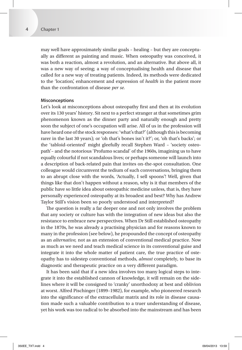may well have approximately similar goals – healing – but they are conceptually as different as painting and music. When osteopathy was conceived, it was both a reaction, almost a revolution, and an alternative. But above all, it was a new way of seeing; a way of conceptualising health and disease that called for a new way of treating patients. Indeed, its methods were dedicated to the 'location', enhancement and expression of *health* in the patient more than the confrontation of disease *per se.*

#### **Misconceptions**

Let's look at misconceptions about osteopathy first and then at its evolution over its 130 years' history. Sit next to a perfect stranger at that sometimes grim phenomenon known as the dinner party and naturally enough and pretty soon the subject of one's occupation will arise. All of us in the profession will have heard one of the stock responses: 'what's that?' (although this is becoming rarer in the last 30 years); or 'oh that's bones isn't it?'; or, 'oh that's backs'; or the 'tabloid-oriented' might gleefully recall Stephen Ward – 'society osteopath'– and the notorious 'Profumo scandal' of the 1960s, imagining us to have equally colourful if not scandalous lives; or perhaps someone will launch into a description of back-related pain that invites on-the-spot consultation. One colleague would circumvent the tedium of such conversations, bringing them to an abrupt close with the words, 'Actually, I sell spoons'! Well, given that things like that don't happen without a reason, why is it that members of the public have so little idea about osteopathic medicine unless, that is, they have personally experienced osteopathy at its broadest and best? Why has Andrew Taylor Still's vision been so poorly understood and interpreted?

The question is really a far deeper one and not only involves the problem that any society or culture has with the integration of new ideas but also the resistance to embrace new perspectives. When Dr Still established osteopathy in the 1870s, he was already a practising physician and for reasons known to many in the profession (see below), he propounded the concept of osteopathy as an *alternative,* not as an extension of conventional medical practice. Now as much as we need and teach medical science in its conventional guise and integrate it into the whole matter of patient care, the true practice of osteopathy has to sidestep conventional methods, *almost* completely, to base its diagnostic and therapeutic practice on a very different paradigm.

It has been said that if a new idea involves too many logical steps to integrate it into the established cannon of knowledge, it will remain on the sidelines where it will be consigned to 'cranky' unorthodoxy at best and oblivion at worst. Alfred Pischinger (1899–1982), for example, who pioneered research into the significance of the extracellular matrix and its role in disease causation made such a valuable contribution to a truer understanding of disease, yet his work was too radical to be absorbed into the mainstream and has been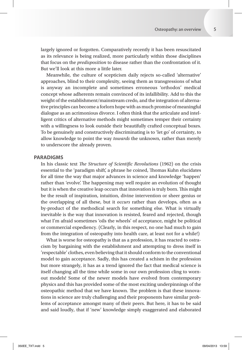largely ignored or forgotten. Comparatively recently it has been resuscitated as its relevance is being realized, more particularly within those disciplines that focus on the *predisposition* to disease rather than the confrontation of it. But we'll look at this more a little later.

Meanwhile, the culture of scepticism daily rejects so-called 'alternative' approaches, blind to their complexity, seeing them as transgressions of what is anyway an incomplete and sometimes erroneous 'orthodox' medical concept whose adherents remain convinced of its infallibility. Add to this the weight of the establishment/mainstream credo, and the integration of alternative principles can become a forlorn hope with as much promise of meaningful dialogue as an acrimonious divorce. I often think that the articulate and intelligent critics of alternative methods might sometimes temper their certainty with a willingness to look outside their beautifully crafted conceptual boxes. To be genuinely and constructively discriminating is to 'let go' of certainty, to allow knowledge to point the way *towards* the unknown, rather than merely to underscore the already proven.

### **PARADIGMS**

In his classic text *The Structure of Scientific Revolutions* (1962) on the crisis essential to the 'paradigm shift', a phrase he coined, Thomas Kuhn elucidates for all time the way that major advances in science and knowledge 'happen' rather than 'evolve'. The happening may well require an evolution of thought but it is when the creative leap occurs that innovation is truly born. This might be the result of inspiration, intuition, divine intervention or sheer genius or the overlapping of all these, but it *occurs* rather than develops, often as a by-product of the methodical search for something else. What is virtually inevitable is the way that innovation is resisted, feared and rejected, though what I'm afraid sometimes 'oils the wheels' of acceptance, might be political or commercial expediency. (Clearly, in this respect, no one had much to gain from the integration of osteopathy into health care, at least not for a while!)

What is worse for osteopathy is that as a profession, it has reacted to ostracism by bargaining with the establishment and attempting to dress itself in 'respectable' clothes, even believing that it should conform to the conventional model to gain acceptance. Sadly, this has created a schism in the profession but more strangely, it has as a trend ignored the fact that medical science is itself changing all the time while some in our own profession cling to wornout models! Some of the newer models have evolved from contemporary physics and this has provided some of the most exciting underpinnings of the osteopathic method that we have known. The problem is that these innovations in science are truly challenging and their proponents have similar problems of acceptance amongst many of their peers. But here, it has to be said and said loudly, that if 'new' knowledge simply exaggerated and elaborated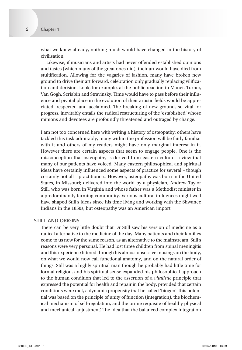what we knew already, nothing much would have changed in the history of civilisation.

Likewise, if musicians and artists had never offended established opinions and tastes (which many of the great ones did), their art would have died from stultification. Allowing for the vagaries of fashion, many have broken new ground to drive their art forward, celebration only gradually replacing vilification and derision. Look, for example, at the public reaction to Manet, Turner, Van Gogh, Scriabin and Stravinsky. Time would have to pass before their influence and pivotal place in the evolution of their artistic fields would be appreciated, respected and acclaimed. The breaking of new ground, so vital for progress, inevitably entails the radical restructuring of the 'established', whose minions and devotees are profoundly threatened and outraged by change.

I am not too concerned here with writing a history of osteopathy; others have tackled this task admirably, many within the profession will be fairly familiar with it and others of my readers might have only marginal interest in it. However there are certain aspects that seem to engage people. One is the misconception that osteopathy is derived from eastern culture; a view that many of our patients have voiced. Many eastern philosophical and spiritual ideas have certainly influenced some aspects of practice for several – though certainly not all – practitioners. However, osteopathy was born in the United States, in Missouri; delivered into the world by a physician, Andrew Taylor Still, who was born in Virginia and whose father was a Methodist minister in a predominantly farming community. Various cultural influences might well have shaped Still's ideas since his time living and working with the Shwanee Indians in the 1850s, but osteopathy was an American import.

### **STILL AND ORIGINS**

There can be very little doubt that Dr Still saw his version of medicine as a radical alternative to the medicine of the day. Many patients and their families come to us now for the same reason, as an alternative to the mainstream. Still's reasons were very personal. He had lost three children from spinal meningitis and this experience filtered through his almost obsessive musings on the body, on what we would now call functional anatomy, and on the natural order of things. Still was a highly spiritual man though he probably had little time for formal religion, and his spiritual sense expanded his philosophical approach to the human condition that led to the assertion of a *vitalistic* principle that expressed the potential for health and repair in the body, provided that certain conditions were met, a dynamic propensity that he called 'biogen'. This potential was based on the principle of unity of function (integration), the biochemical mechanism of self-regulation, and the prime requisite of healthy physical and mechanical 'adjustment'. The idea that the balanced complex integration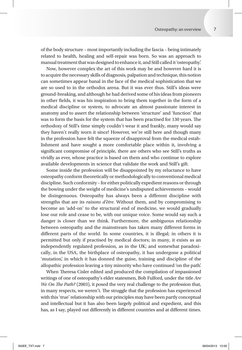of the body structure – most importantly including the fascia – being intimately related to health, healing and self-repair was born. So was an approach to manual treatment that was designed to enhance it, and Still called it 'osteopathy'.

Now, however complex the art of this work may be and however hard it is to acquire the necessary skills of diagnosis, palpation and technique, this notion can sometimes appear banal in the face of the medical sophistication that we are so used to in the orthodox arena. But it was ever thus. Still's ideas were ground-breaking, and although he had derived some of his ideas from pioneers in other fields, it was his inspiration to bring them together in the form of a medical discipline or system, to advocate an almost passionate interest in anatomy and to assert the relationship between 'structure' and 'function' that was to form the basis for the system that has been practised for 130 years. The orthodoxy of Still's time simply couldn't wear it and frankly, many would say they haven't really worn it since! However, we're still here and though many in the profession have felt the squeeze of disapproval from the medical establishment and have sought a more comfortable place within it, involving a significant compromise of principle, there are others who see Still's truths as vividly as ever, whose practice is based on them and who continue to explore available developments in science that validate the work and Still's gift.

Some inside the profession will be disappointed by my reluctance to have osteopathy conform theoretically or methodologically to conventional medical discipline. Such conformity – for either politically expedient reasons or through the bowing under the weight of medicine's undisputed achievements – would be disingenuous. Osteopathy has always been a different discipline with strengths that are its *raisons d'être.* Without them, and by compromising to become an 'add-on' to the structural end of medicine, we would gradually lose our role and cease to be, with our unique voice. Some would say such a danger is closer than we think. Furthermore, the ambiguous relationship between osteopathy and the mainstream has taken many different forms in different parts of the world. In some countries, it is illegal; in others it is permitted but only if practised by medical doctors; in many, it exists as an independently regulated profession, as in the UK; and somewhat paradoxically, in the USA, the birthplace of osteopathy, it has undergone a political 'mutation', in which it has donned the guise, training and discipline of the allopathic profession leaving a tiny minority who have continued 'on the path'.

When Theresa Cisler edited and produced the compilation of impassioned writings of one of osteopathy's elder statesmen, Bob Fulford, under the title *Are We On The Path?* (2003), it posed the very real challenge to the profession that, in many respects, we weren't. The struggle that the profession has experienced with this 'true' relationship with our principles may have been partly conceptual and intellectual but it has also been largely political and expedient, and this has, as I say, played out differently in different countries and at different times.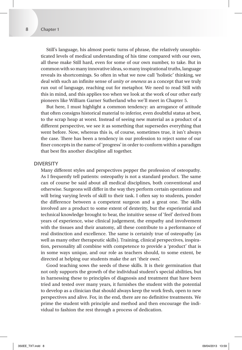Still's language, his almost poetic turns of phrase, the relatively unsophisticated levels of medical understanding of his time compared with our own, all these make Still hard, even for some of our own number, to take. But in common with so many innovative ideas, so many inspirational truths, language reveals its shortcomings. So often in what we now call 'holistic' thinking, we deal with such an infinite sense of *unity or oneness* as a concept that we truly run out of language, reaching out for metaphor. We need to read Still with this in mind, and this applies too when we look at the work of our other early pioneers like William Garner Sutherland who we'll meet in Chapter 5.

But here, I must highlight a common tendency: an arrogance of attitude that often consigns historical material to inferior, even doubtful status at best, to the scrap heap at worst. Instead of seeing new material as a product of a different perspective, we see it as something that supersedes everything that went before. Now, whereas this is, of course, sometimes true, it isn't always the case. There has been a tendency in our profession to reject some of our finer concepts in the name of 'progress' in order to conform within a paradigm that best fits another discipline all together.

### **DIVERSITY**

Many different styles and perspectives pepper the profession of osteopathy. As I frequently tell patients: osteopathy is not a standard product. The same can of course be said about all medical disciplines, both conventional and otherwise. Surgeons will differ in the way they perform certain operations and will bring varying levels of skill to their task. I often say to students, ponder the difference between a competent surgeon and a great one. The skills involved are a product to some extent of dexterity, but the experiential and technical knowledge brought to bear, the intuitive sense of 'feel' derived from years of experience, wise clinical judgement, the empathy and involvement with the tissues and their anatomy, all these contribute to a performance of real distinction and excellence. The same is certainly true of osteopathy (as well as many other therapeutic skills). Training, clinical perspectives, inspiration, personality all combine with competence to provide a 'product' that is in some ways unique, and our role as teachers should, to some extent, be directed at helping our students make the art 'their own'.

Good teaching sows the seeds of these skills. It is their germination that not only supports the growth of the individual student's special abilities, but in harnessing these to principles of diagnosis and treatment that have been tried and tested over many years, it furnishes the student with the potential to develop as a clinician that should always keep the work fresh, open to new perspectives and alive. For, in the end, there are no definitive treatments. We prime the student with principle and method and then encourage the individual to fashion the rest through a process of dedication.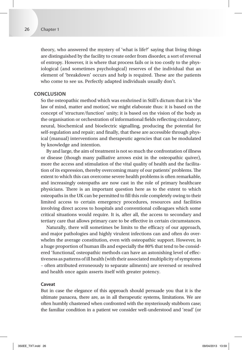theory, who answered the mystery of 'what is life?' saying that living things are distinguished by the facility to create order from disorder, a sort of reversal of entropy. However, it is where that process fails or is too costly to the physiological (and sometimes psychological) reserves of the individual that an element of 'breakdown' occurs and help is required. These are the patients who come to see us. Perfectly adapted individuals usually don't.

### **CONCLUSION**

So the osteopathic method which was enshrined in Still's dictum that it is 'the law of mind, matter and motion', we might elaborate thus: it is based on the concept of 'structure/function' unity; it is based on the vision of the body as the organisation or orchestration of informational fields reflecting circulatory, neural, biochemical and bioelectric signalling, producing the potential for self-regulation and repair; and finally, that these are accessible through physical (manual) interventions and therapeutic agencies that can be modulated by knowledge and intention.

By and large, the aim of treatment is not so much the confrontation of illness or disease (though many palliative arrows exist in the osteopathic quiver), more the access and stimulation of the vital quality of health and the facilitation of its expression, thereby overcoming many of our patients' problems. The extent to which this can overcome severe health problems is often remarkable, and increasingly osteopaths are now cast in the role of primary healthcare physicians. There is an important question here as to the extent to which osteopaths in the UK can be permitted to fill this role completely owing to their limited access to certain emergency procedures, resources and facilities involving direct access to hospitals and conventional colleagues which some critical situations would require. It is, after all, the access to secondary and tertiary care that allows primary care to be effective in certain circumstances.

Naturally, there will sometimes be limits to the efficacy of our approach, and major pathologies and highly virulent infections can and often do overwhelm the average constitution, even with osteopathic support. However, in a huge proportion of human ills and especially the 80% that tend to be considered 'functional', osteopathic methods can have an astonishing level of effectiveness as patterns of ill health (with their associated multiplicity of symptoms – often attributed erroneously to separate ailments) are reversed or resolved and health once again asserts itself with greater potency.

### **Caveat**

But in case the elegance of this approach should persuade you that it is the ultimate panacea, there are, as in all therapeutic systems, limitations. We are often humbly chastened when confronted with the mysteriously stubborn case; the familiar condition in a patient we consider well-understood and 'read' (or